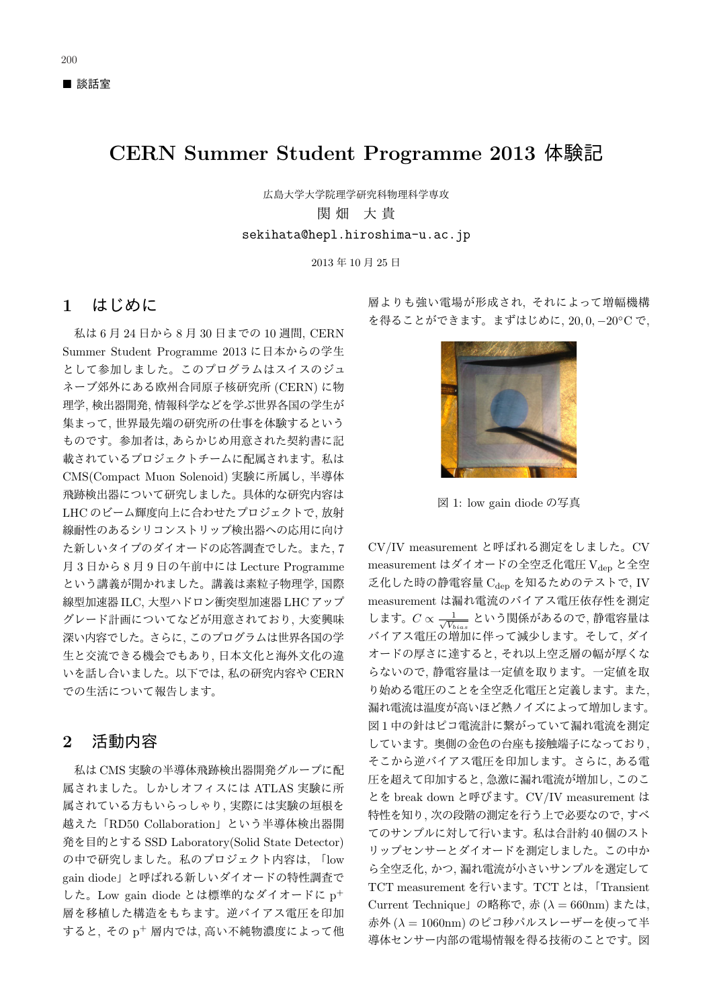# CERN Summer Student Programme 2013 体験記

広島大学大学院理学研究科物理科学専攻 関 畑 大 貴 sekihata@hepl.hiroshima-u.ac.jp

2013年10月25日

### $1$   $k$  $C$  $\&$

私は6月24日から8月30日までの10週間, CERN Summer Student Programme 2013 に日本からの学生 として参加しました。このプログラムはスイスのジュ ネーブ郊外にある欧州合同原子核研究所 (CERN) に物 理学. 検出器開発. 情報科学などを学ぶ世界各国の学生が 集まって、世界最先端の研究所の仕事を体験するという ものです。参加者は、あらかじめ用意された契約書に記 載されているプロジェクトチームに配属されます。私は CMS(Compact Muon Solenoid) 実験に所属し、半導体 飛跡検出器について研究しました。具体的な研究内容は LHC のビーム輝度向上に合わせたプロジェクトで、放射 線耐性のあるシリコンストリップ検出器への応用に向け た新しいタイプのダイオードの応答調査でした。また, 7 月3日から8月9日の午前中には Lecture Programme という講義が開かれました。講義は素粒子物理学, 国際 線型加速器 ILC, 大型ハドロン衝突型加速器 LHC アップ グレード計画についてなどが用意されており、大変興味 深い内容でした。さらに、このプログラムは世界各国の学 生と交流できる機会でもあり、日本文化と海外文化の違 いを話し合いました。以下では、私の研究内容や CERN での生活について報告します。

## $2$  活動内容

私は CMS 実験の半導体飛跡検出器開発グループに配 属されました。しかしオフィスには ATLAS 実験に所 属されている方もいらっしゃり、実際には実験の垣根を 越えた「RD50 Collaboration」という半導体検出器開 発を目的とする SSD Laboratory(Solid State Detector) の中で研究しました。私のプロジェクト内容は、「low gain diode」と呼ばれる新しいダイオードの特性調査で した。Low gain diode とは標準的なダイオードに p<sup>+</sup> 層を移植した構造をもちます。逆バイアス電圧を印加  $J\bar{D}$ ると、その p<sup>+</sup> 層内では、高い不純物濃度によって他 層よりも強い電場が形成され、それによって増幅機構 を得ることができます。まずはじめに, 20,0, -20°C で,



図 1: low gain diode の写真

CV/IV measurement と呼ばれる測定をしました。CV measurement はダイオードの全空乏化電圧 Vdep と全空 乏化した時の静電容量 $C_{den}$ を知るためのテストで、IV measurement は漏れ電流のバイアス電圧依存性を測定 します。 $C \propto \frac{1}{\sqrt{V_b}}$  $\frac{1}{V_{bias}}$  という関係があるので, 静電容量は バイアス電圧の増加に伴って減少します。そして、ダイ オードの厚さに達すると、それ以上空乏層の幅が厚くな らないので、静電容量は一定値を取ります。一定値を取 り始める電圧のことを全空乏化電圧と定義します。また、 漏れ電流は温度が高いほど熱ノイズによって増加します。 図1中の針はピコ電流計に繋がっていて漏れ電流を測定 しています。奥側の金色の台座も接触端子になっており、 そこから逆バイアス電圧を印加します。さらに、ある電 圧を超えて印加すると、急激に漏れ電流が増加し、このこ とを break down と呼びます。CV/IV measurement は 特性を知り、次の段階の測定を行う上で必要なので、すべ てのサンプルに対して行います。私は合計約40個のスト りップセンサーとダイオードを測定しました。この中か ら全空乏化, かつ,漏れ電流が小さいサンプルを選定して TCT measurement を行います。TCT とは、「Transient Current Technique」の略称で、赤 ( $\lambda = 660$ nm) または, 赤外 ( $\lambda = 1060$ nm) のピコ秒パルスレーザーを使って半 導体センサー内部の電場情報を得る技術のことです。図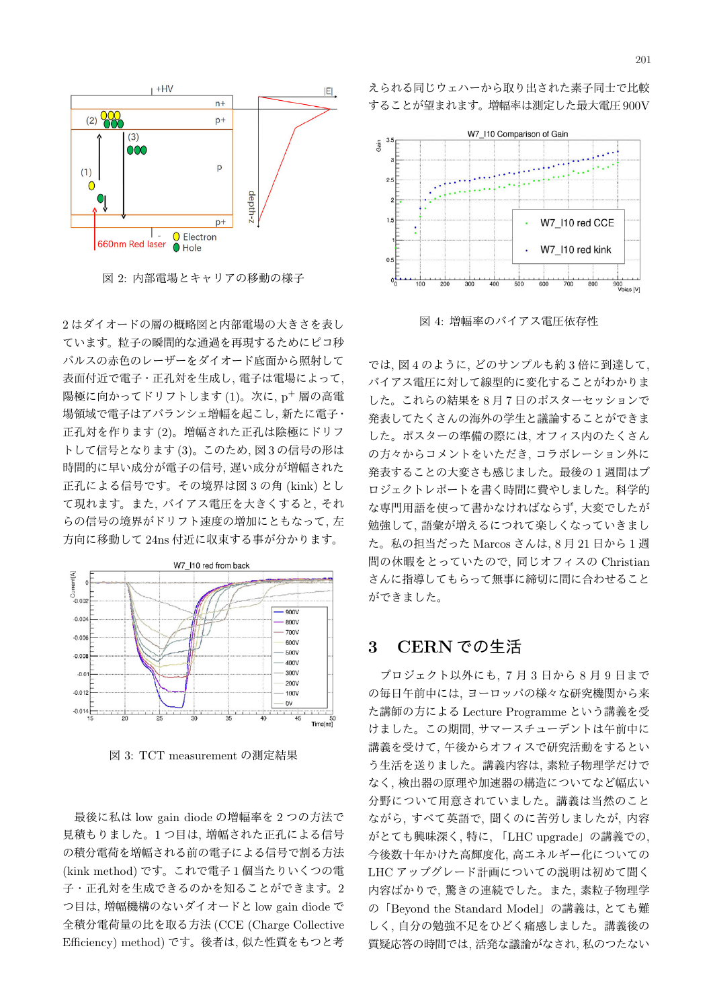

図 2: 内部電場とキャリアの移動の様子

 $2$ はダイオードの層の概略図と内部電場の大きさを表し ています。粒子の瞬間的な通過を再現するためにピコ秒 パルスの赤色のレーザーをダイオード底面から照射して 表面付近で電子・正孔対を生成し、電子は電場によって、 陽極に向かってドリフトします $(1)$ 。次に、p<sup>+</sup> 層の高電 場領域で電子はアバランシェ増幅を起こし、新たに電子· 正孔対を作ります(2)。増幅された正孔は陰極にドリフ トして信号となります (3)。このため、図3の信号の形は 時間的に早い成分が電子の信号, 遅い成分が増幅された 正孔による信号です。その境界は図3の角 (kink) とし て現れます。また、バイアス電圧を大きくすると、それ らの信号の境界がドリフト速度の増加にともなって、左 方向に移動して 24ns 付近に収束する事が分かります。



図 3: TCT measurement の測定結果

最後に私は low gain diode の増幅率を2つの方法で 見積もりました。1つ目は、増幅された正孔による信号 の積分電荷を増幅される前の電子による信号で割る方法 (kink method) です。これで電子1個当たりいくつの電 子・正孔対を生成できるのかを知ることができます。2 つ目は, 増幅機構のないダイオードと low gain diode で 全積分電荷量の比を取る方法 (CCE (Charge Collective Efficiency) method) です。後者は、似た性質をもつと考 えられる同じウェハーから取り出された素子同士で比較 することが望まれます。増幅率は測定した最大電圧 900V



図 4: 増幅率のバイアス電圧依存性

では, 図4のように、どのサンプルも約3倍に到達して、 バイアス電圧に対して線型的に変化することがわかりま した。これらの結果を8月7日のポスターセッションで 発表してたくさんの海外の学生と議論することができま した。ポスターの準備の際には、オフィス内のたくさん の方々からコメントをいただき、コラボレーション外に 発表することの大変さも感じました。最後の1週間はプ ロジェクトレポートを書く時間に費やしました。科学的 な専門用語を使って書かなければならず、大変でしたが 勉強して、語彙が増えるにつれて楽しくなっていきまし た。私の担当だった Marcos さんは, 8 月 21 日から1週 間の休暇をとっていたので、同じオフィスの Christian さんに指導してもらって無事に締切に間に合わせること ができました。

#### $3$  CERN での生活

 $\mathcal{V}$ ロジェクト以外にも、7月3日から8月9日まで の毎日午前中には、ヨーロッパの様々な研究機関から来 た講師の方による Lecture Programme という講義を受 けました。この期間、サマースチューデントは午前中に 講義を受けて、午後からオフィスで研究活動をするとい う生活を送りました。講義内容は、素粒子物理学だけで なく、検出器の原理や加速器の構造についてなど幅広い 分野について用意されていました。講義は当然のこと ながら、すべて英語で、聞くのに苦労しましたが、内容 がとても興味深く、特に、「LHC upgrade」の講義での、 今後数十年かけた高輝度化,高エネルギー化についての LHC アップグレード計画についての説明は初めて聞く 内容ばかりで、驚きの連続でした。また、素粒子物理学 の「Beyond the Standard Model」の講義は、とても難 しく、自分の勉強不足をひどく痛感しました。講義後の 質疑応答の時間では,活発な議論がなされ,私のつたない